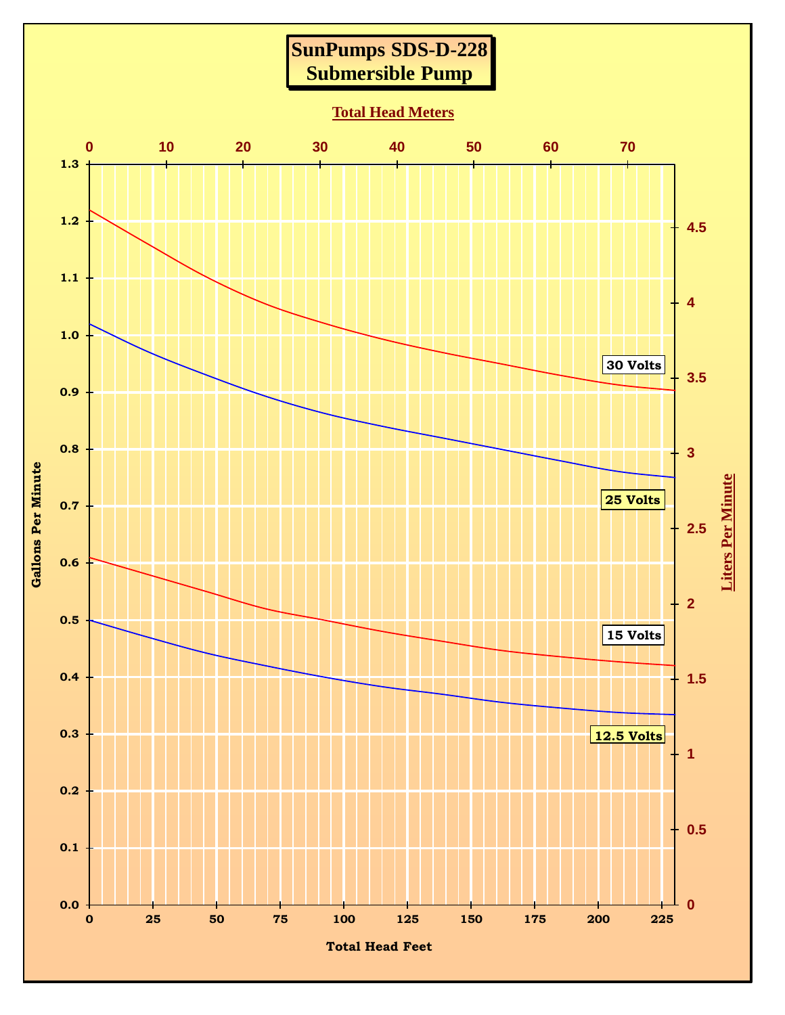